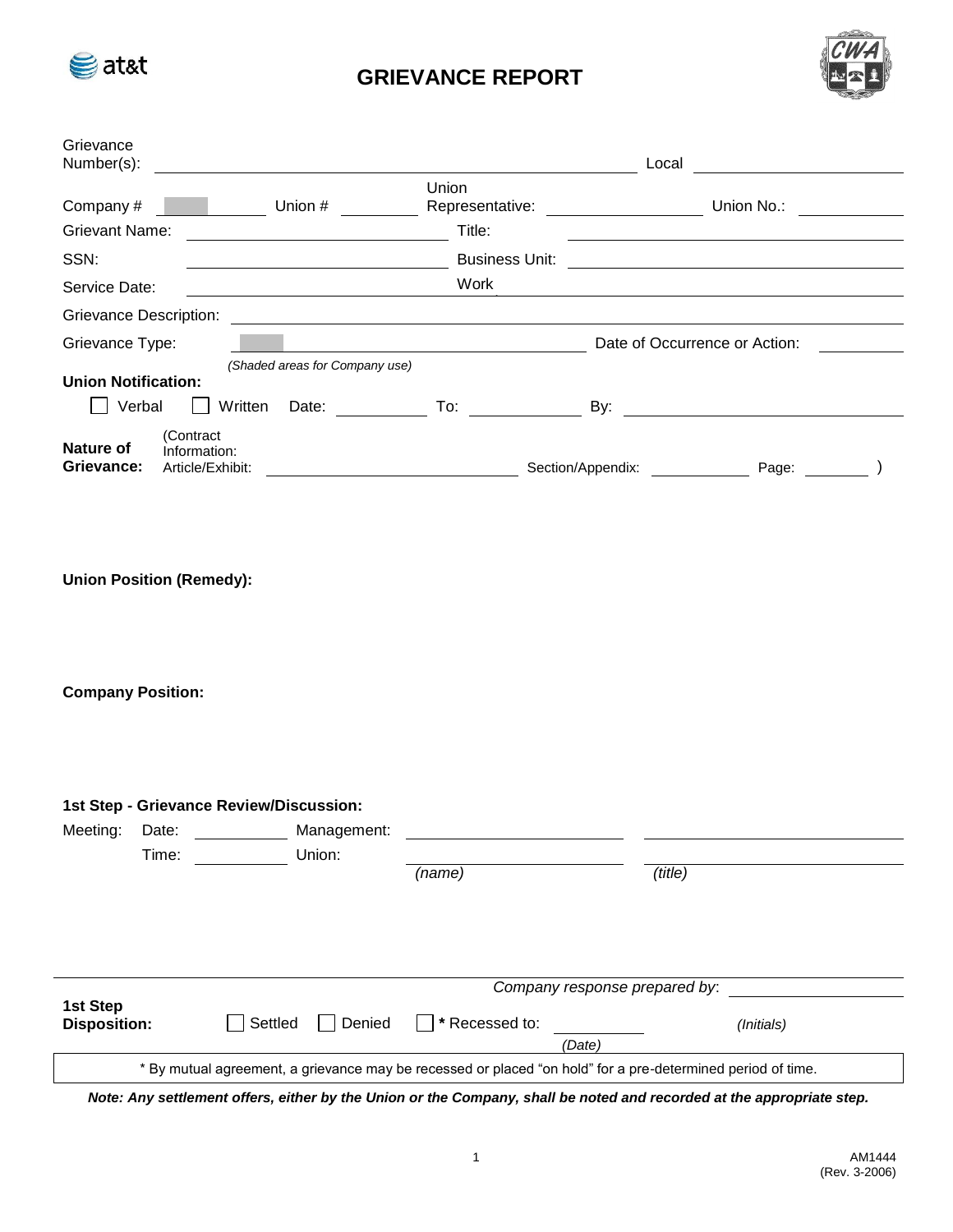

## **GRIEVANCE REPORT**



| Grievance<br>Number(s):                                                         |                                                   |                 |                               |                                |  |
|---------------------------------------------------------------------------------|---------------------------------------------------|-----------------|-------------------------------|--------------------------------|--|
| Company#<br><b>Grievant Name:</b>                                               |                                                   | Union<br>Title: |                               |                                |  |
| SSN:                                                                            |                                                   |                 |                               |                                |  |
| Service Date:                                                                   |                                                   | Work            |                               |                                |  |
| <b>Grievance Description:</b>                                                   |                                                   |                 |                               |                                |  |
| Grievance Type:                                                                 | <u> 1989 - Johann Barnett, fransk politiker (</u> |                 | Date of Occurrence or Action: |                                |  |
| <b>Union Notification:</b><br>Verbal<br>Written                                 | (Shaded areas for Company use)                    |                 |                               |                                |  |
| (Contract<br><b>Nature of</b><br>Information:<br>Grievance:<br>Article/Exhibit: |                                                   |                 |                               | Section/Appendix: Page: (2015) |  |
| <b>Union Position (Remedy):</b>                                                 |                                                   |                 |                               |                                |  |
| <b>Company Position:</b>                                                        |                                                   |                 |                               |                                |  |
| 1st Step - Grievance Review/Discussion:<br>Meeting:<br>Date:<br>Time:           | Management:<br>Union:                             | (name)          | (title)                       |                                |  |

|                                                                                                             | Company response prepared by: |                |        |            |  |
|-------------------------------------------------------------------------------------------------------------|-------------------------------|----------------|--------|------------|--|
| 1st Step<br><b>Disposition:</b>                                                                             | l Settled<br>Denied           | * Recessed to: |        | (Initials) |  |
|                                                                                                             |                               |                | (Date) |            |  |
| * By mutual agreement, a grievance may be recessed or placed "on hold" for a pre-determined period of time. |                               |                |        |            |  |

*Note: Any settlement offers, either by the Union or the Company, shall be noted and recorded at the appropriate step.*